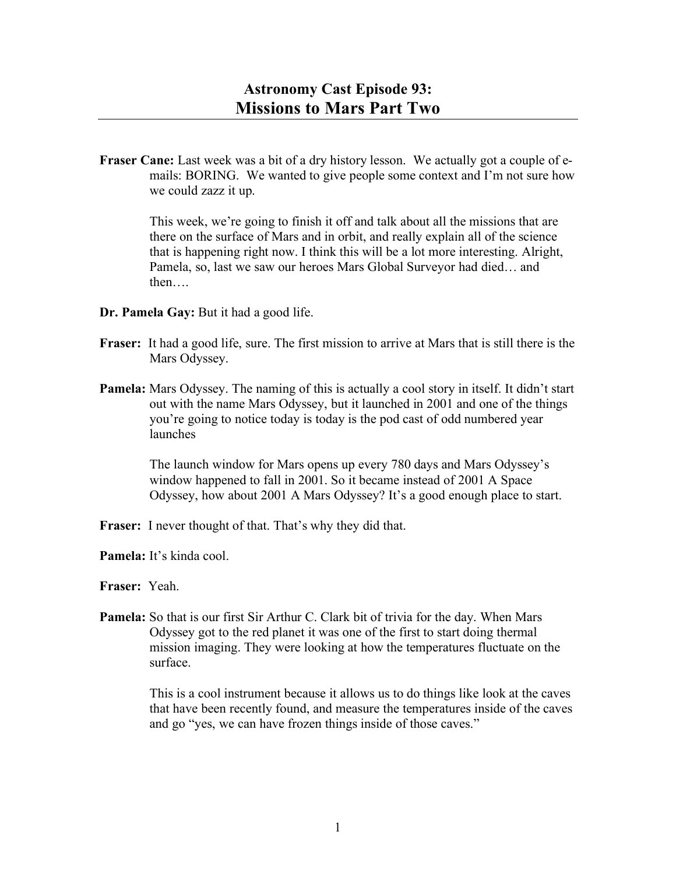**Fraser Cane:** Last week was a bit of a dry history lesson. We actually got a couple of emails: BORING. We wanted to give people some context and I'm not sure how we could zazz it up.

> This week, we're going to finish it off and talk about all the missions that are there on the surface of Mars and in orbit, and really explain all of the science that is happening right now. I think this will be a lot more interesting. Alright, Pamela, so, last we saw our heroes Mars Global Surveyor had died… and then….

## **Dr. Pamela Gay:** But it had a good life.

- **Fraser:** It had a good life, sure. The first mission to arrive at Mars that is still there is the Mars Odyssey.
- **Pamela:** Mars Odyssey. The naming of this is actually a cool story in itself. It didn't start out with the name Mars Odyssey, but it launched in 2001 and one of the things you're going to notice today is today is the pod cast of odd numbered year launches

The launch window for Mars opens up every 780 days and Mars Odyssey's window happened to fall in 2001. So it became instead of 2001 A Space Odyssey, how about 2001 A Mars Odyssey? It's a good enough place to start.

**Fraser:** I never thought of that. That's why they did that.

**Pamela:** It's kinda cool.

**Fraser:** Yeah.

**Pamela:** So that is our first Sir Arthur C. Clark bit of trivia for the day. When Mars Odyssey got to the red planet it was one of the first to start doing thermal mission imaging. They were looking at how the temperatures fluctuate on the surface.

> This is a cool instrument because it allows us to do things like look at the caves that have been recently found, and measure the temperatures inside of the caves and go "yes, we can have frozen things inside of those caves."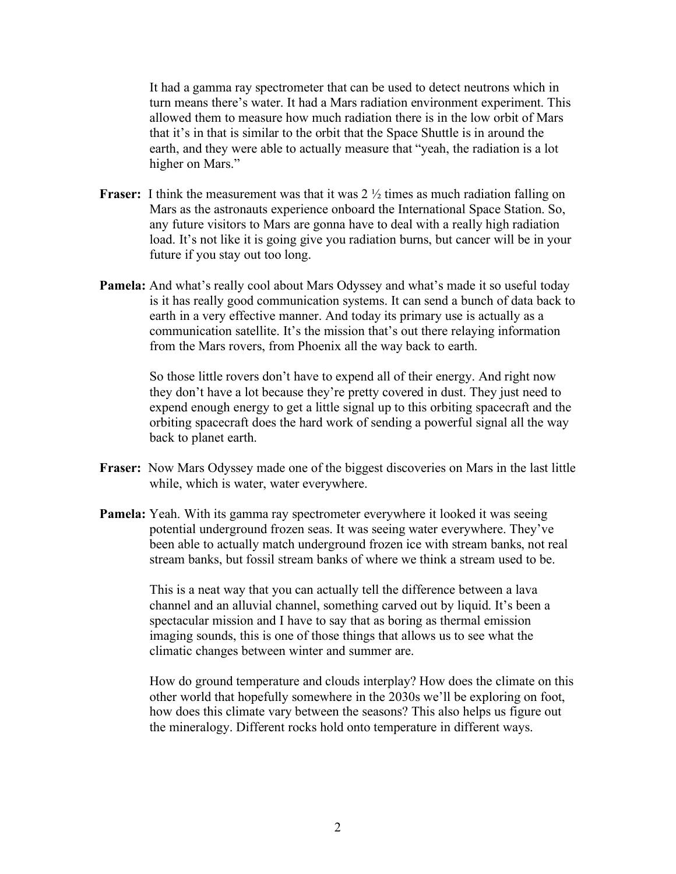It had a gamma ray spectrometer that can be used to detect neutrons which in turn means there's water. It had a Mars radiation environment experiment. This allowed them to measure how much radiation there is in the low orbit of Mars that it's in that is similar to the orbit that the Space Shuttle is in around the earth, and they were able to actually measure that "yeah, the radiation is a lot higher on Mars."

- **Fraser:** I think the measurement was that it was 2  $\frac{1}{2}$  times as much radiation falling on Mars as the astronauts experience onboard the International Space Station. So, any future visitors to Mars are gonna have to deal with a really high radiation load. It's not like it is going give you radiation burns, but cancer will be in your future if you stay out too long.
- **Pamela:** And what's really cool about Mars Odyssey and what's made it so useful today is it has really good communication systems. It can send a bunch of data back to earth in a very effective manner. And today its primary use is actually as a communication satellite. It's the mission that's out there relaying information from the Mars rovers, from Phoenix all the way back to earth.

So those little rovers don't have to expend all of their energy. And right now they don't have a lot because they're pretty covered in dust. They just need to expend enough energy to get a little signal up to this orbiting spacecraft and the orbiting spacecraft does the hard work of sending a powerful signal all the way back to planet earth.

- **Fraser:** Now Mars Odyssey made one of the biggest discoveries on Mars in the last little while, which is water, water everywhere.
- **Pamela:** Yeah. With its gamma ray spectrometer everywhere it looked it was seeing potential underground frozen seas. It was seeing water everywhere. They've been able to actually match underground frozen ice with stream banks, not real stream banks, but fossil stream banks of where we think a stream used to be.

This is a neat way that you can actually tell the difference between a lava channel and an alluvial channel, something carved out by liquid. It's been a spectacular mission and I have to say that as boring as thermal emission imaging sounds, this is one of those things that allows us to see what the climatic changes between winter and summer are.

How do ground temperature and clouds interplay? How does the climate on this other world that hopefully somewhere in the 2030s we'll be exploring on foot, how does this climate vary between the seasons? This also helps us figure out the mineralogy. Different rocks hold onto temperature in different ways.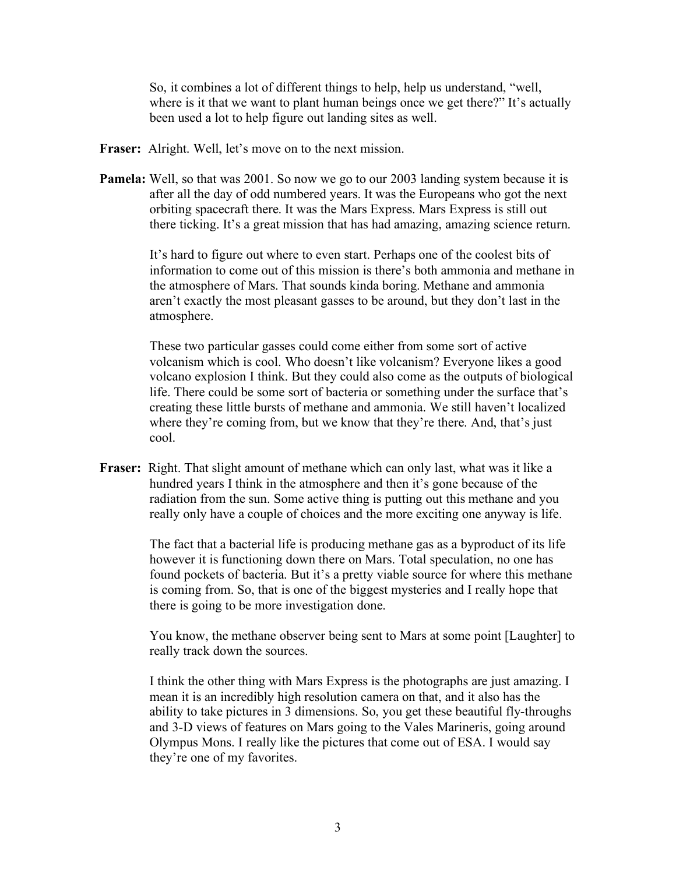So, it combines a lot of different things to help, help us understand, "well, where is it that we want to plant human beings once we get there?" It's actually been used a lot to help figure out landing sites as well.

- **Fraser:** Alright. Well, let's move on to the next mission.
- **Pamela:** Well, so that was 2001. So now we go to our 2003 landing system because it is after all the day of odd numbered years. It was the Europeans who got the next orbiting spacecraft there. It was the Mars Express. Mars Express is still out there ticking. It's a great mission that has had amazing, amazing science return.

It's hard to figure out where to even start. Perhaps one of the coolest bits of information to come out of this mission is there's both ammonia and methane in the atmosphere of Mars. That sounds kinda boring. Methane and ammonia aren't exactly the most pleasant gasses to be around, but they don't last in the atmosphere.

These two particular gasses could come either from some sort of active volcanism which is cool. Who doesn't like volcanism? Everyone likes a good volcano explosion I think. But they could also come as the outputs of biological life. There could be some sort of bacteria or something under the surface that's creating these little bursts of methane and ammonia. We still haven't localized where they're coming from, but we know that they're there. And, that's just cool.

**Fraser:** Right. That slight amount of methane which can only last, what was it like a hundred years I think in the atmosphere and then it's gone because of the radiation from the sun. Some active thing is putting out this methane and you really only have a couple of choices and the more exciting one anyway is life.

> The fact that a bacterial life is producing methane gas as a byproduct of its life however it is functioning down there on Mars. Total speculation, no one has found pockets of bacteria. But it's a pretty viable source for where this methane is coming from. So, that is one of the biggest mysteries and I really hope that there is going to be more investigation done.

> You know, the methane observer being sent to Mars at some point [Laughter] to really track down the sources.

> I think the other thing with Mars Express is the photographs are just amazing. I mean it is an incredibly high resolution camera on that, and it also has the ability to take pictures in 3 dimensions. So, you get these beautiful fly-throughs and 3-D views of features on Mars going to the Vales Marineris, going around Olympus Mons. I really like the pictures that come out of ESA. I would say they're one of my favorites.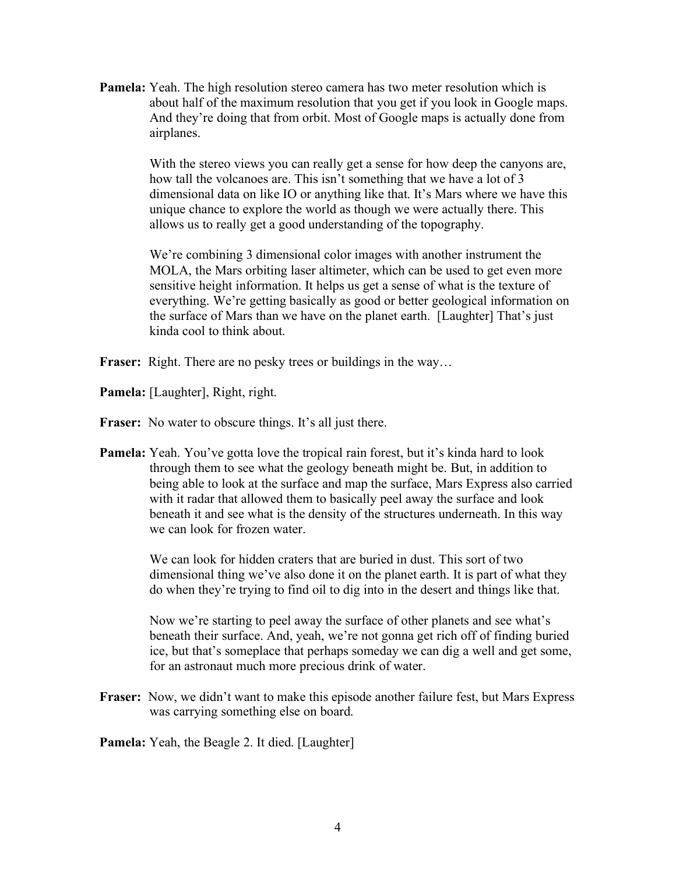**Pamela:** Yeah. The high resolution stereo camera has two meter resolution which is about half of the maximum resolution that you get if you look in Google maps. And they're doing that from orbit. Most of Google maps is actually done from airplanes.

> With the stereo views you can really get a sense for how deep the canyons are, how tall the volcanoes are. This isn't something that we have a lot of 3 dimensional data on like IO or anything like that. It's Mars where we have this unique chance to explore the world as though we were actually there. This allows us to really get a good understanding of the topography.

> We're combining 3 dimensional color images with another instrument the MOLA, the Mars orbiting laser altimeter, which can be used to get even more sensitive height information. It helps us get a sense of what is the texture of everything. We're getting basically as good or better geological information on the surface of Mars than we have on the planet earth. [Laughter] That's just kinda cool to think about.

- **Fraser:** Right. There are no pesky trees or buildings in the way...
- **Pamela:** [Laughter], Right, right.
- Fraser: No water to obscure things. It's all just there.
- **Pamela:** Yeah. You've gotta love the tropical rain forest, but it's kinda hard to look through them to see what the geology beneath might be. But, in addition to being able to look at the surface and map the surface, Mars Express also carried with it radar that allowed them to basically peel away the surface and look beneath it and see what is the density of the structures underneath. In this way we can look for frozen water.

We can look for hidden craters that are buried in dust. This sort of two dimensional thing we've also done it on the planet earth. It is part of what they do when they're trying to find oil to dig into in the desert and things like that.

Now we're starting to peel away the surface of other planets and see what's beneath their surface. And, yeah, we're not gonna get rich off of finding buried ice, but that's someplace that perhaps someday we can dig a well and get some, for an astronaut much more precious drink of water.

**Fraser:** Now, we didn't want to make this episode another failure fest, but Mars Express was carrying something else on board.

**Pamela:** Yeah, the Beagle 2. It died. [Laughter]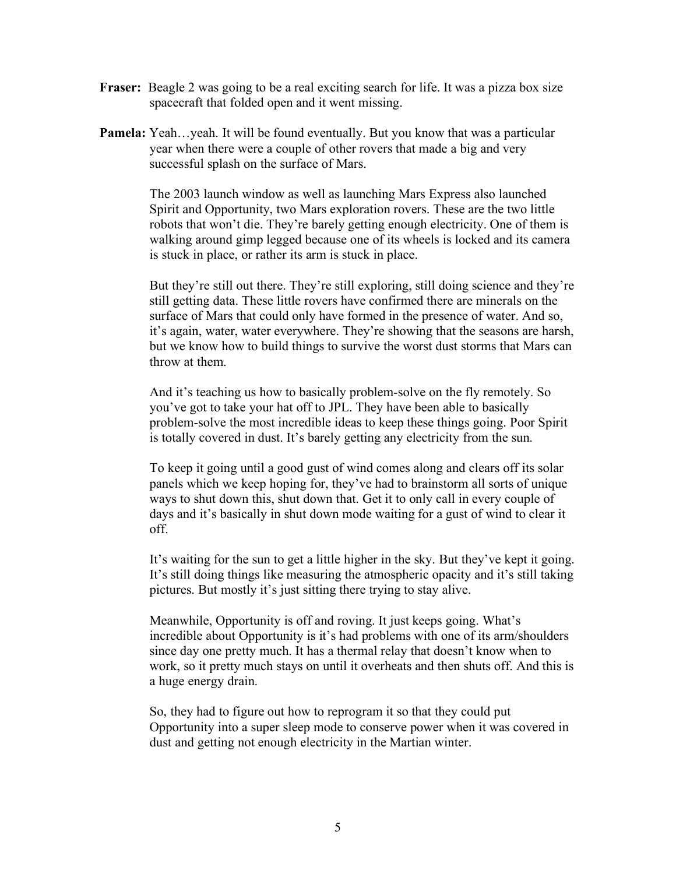- **Fraser:** Beagle 2 was going to be a real exciting search for life. It was a pizza box size spacecraft that folded open and it went missing.
- **Pamela:** Yeah…yeah. It will be found eventually. But you know that was a particular year when there were a couple of other rovers that made a big and very successful splash on the surface of Mars.

The 2003 launch window as well as launching Mars Express also launched Spirit and Opportunity, two Mars exploration rovers. These are the two little robots that won't die. They're barely getting enough electricity. One of them is walking around gimp legged because one of its wheels is locked and its camera is stuck in place, or rather its arm is stuck in place.

But they're still out there. They're still exploring, still doing science and they're still getting data. These little rovers have confirmed there are minerals on the surface of Mars that could only have formed in the presence of water. And so, it's again, water, water everywhere. They're showing that the seasons are harsh, but we know how to build things to survive the worst dust storms that Mars can throw at them.

And it's teaching us how to basically problem-solve on the fly remotely. So you've got to take your hat off to JPL. They have been able to basically problem-solve the most incredible ideas to keep these things going. Poor Spirit is totally covered in dust. It's barely getting any electricity from the sun.

To keep it going until a good gust of wind comes along and clears off its solar panels which we keep hoping for, they've had to brainstorm all sorts of unique ways to shut down this, shut down that. Get it to only call in every couple of days and it's basically in shut down mode waiting for a gust of wind to clear it off.

It's waiting for the sun to get a little higher in the sky. But they've kept it going. It's still doing things like measuring the atmospheric opacity and it's still taking pictures. But mostly it's just sitting there trying to stay alive.

Meanwhile, Opportunity is off and roving. It just keeps going. What's incredible about Opportunity is it's had problems with one of its arm/shoulders since day one pretty much. It has a thermal relay that doesn't know when to work, so it pretty much stays on until it overheats and then shuts off. And this is a huge energy drain.

So, they had to figure out how to reprogram it so that they could put Opportunity into a super sleep mode to conserve power when it was covered in dust and getting not enough electricity in the Martian winter.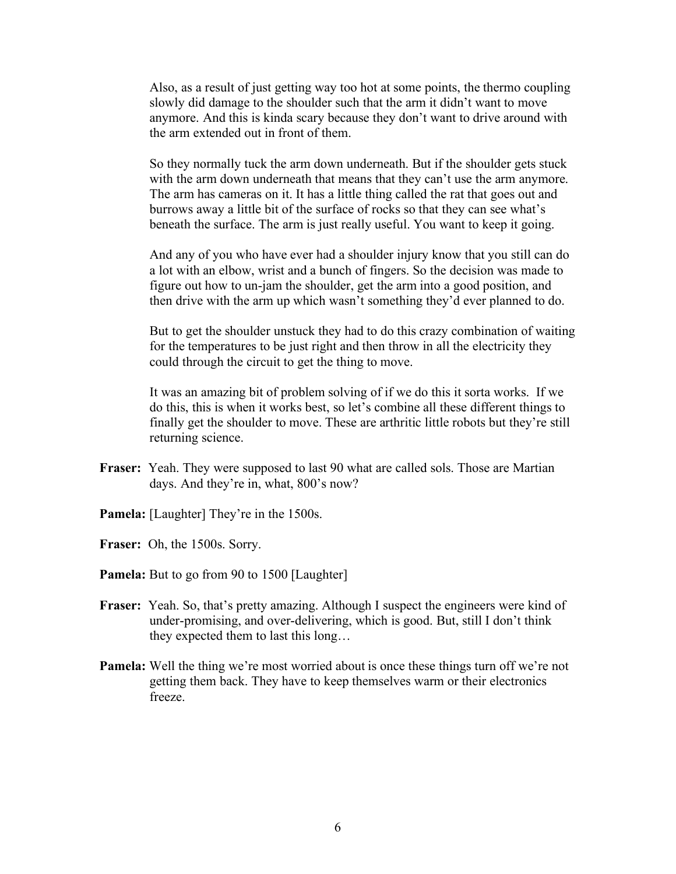Also, as a result of just getting way too hot at some points, the thermo coupling slowly did damage to the shoulder such that the arm it didn't want to move anymore. And this is kinda scary because they don't want to drive around with the arm extended out in front of them.

So they normally tuck the arm down underneath. But if the shoulder gets stuck with the arm down underneath that means that they can't use the arm anymore. The arm has cameras on it. It has a little thing called the rat that goes out and burrows away a little bit of the surface of rocks so that they can see what's beneath the surface. The arm is just really useful. You want to keep it going.

And any of you who have ever had a shoulder injury know that you still can do a lot with an elbow, wrist and a bunch of fingers. So the decision was made to figure out how to un-jam the shoulder, get the arm into a good position, and then drive with the arm up which wasn't something they'd ever planned to do.

But to get the shoulder unstuck they had to do this crazy combination of waiting for the temperatures to be just right and then throw in all the electricity they could through the circuit to get the thing to move.

It was an amazing bit of problem solving of if we do this it sorta works. If we do this, this is when it works best, so let's combine all these different things to finally get the shoulder to move. These are arthritic little robots but they're still returning science.

- **Fraser:** Yeah. They were supposed to last 90 what are called sols. Those are Martian days. And they're in, what, 800's now?
- **Pamela:** [Laughter] They're in the 1500s.
- **Fraser:** Oh, the 1500s. Sorry.
- **Pamela:** But to go from 90 to 1500 [Laughter]
- **Fraser:** Yeah. So, that's pretty amazing. Although I suspect the engineers were kind of under-promising, and over-delivering, which is good. But, still I don't think they expected them to last this long…
- **Pamela:** Well the thing we're most worried about is once these things turn off we're not getting them back. They have to keep themselves warm or their electronics freeze.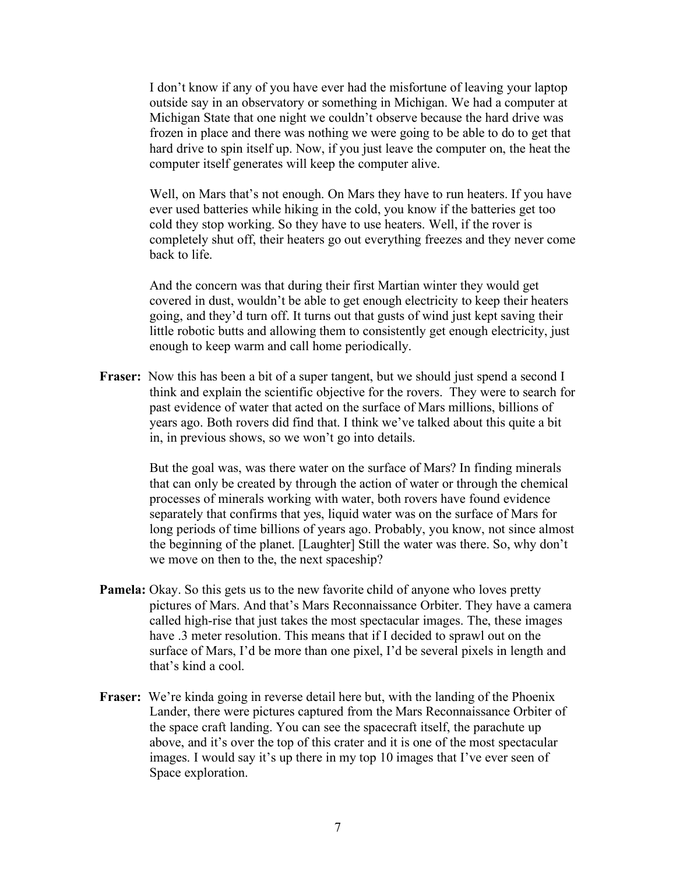I don't know if any of you have ever had the misfortune of leaving your laptop outside say in an observatory or something in Michigan. We had a computer at Michigan State that one night we couldn't observe because the hard drive was frozen in place and there was nothing we were going to be able to do to get that hard drive to spin itself up. Now, if you just leave the computer on, the heat the computer itself generates will keep the computer alive.

Well, on Mars that's not enough. On Mars they have to run heaters. If you have ever used batteries while hiking in the cold, you know if the batteries get too cold they stop working. So they have to use heaters. Well, if the rover is completely shut off, their heaters go out everything freezes and they never come back to life.

And the concern was that during their first Martian winter they would get covered in dust, wouldn't be able to get enough electricity to keep their heaters going, and they'd turn off. It turns out that gusts of wind just kept saving their little robotic butts and allowing them to consistently get enough electricity, just enough to keep warm and call home periodically.

**Fraser:** Now this has been a bit of a super tangent, but we should just spend a second I think and explain the scientific objective for the rovers. They were to search for past evidence of water that acted on the surface of Mars millions, billions of years ago. Both rovers did find that. I think we've talked about this quite a bit in, in previous shows, so we won't go into details.

> But the goal was, was there water on the surface of Mars? In finding minerals that can only be created by through the action of water or through the chemical processes of minerals working with water, both rovers have found evidence separately that confirms that yes, liquid water was on the surface of Mars for long periods of time billions of years ago. Probably, you know, not since almost the beginning of the planet. [Laughter] Still the water was there. So, why don't we move on then to the, the next spaceship?

- **Pamela:** Okay. So this gets us to the new favorite child of anyone who loves pretty pictures of Mars. And that's Mars Reconnaissance Orbiter. They have a camera called high-rise that just takes the most spectacular images. The, these images have .3 meter resolution. This means that if I decided to sprawl out on the surface of Mars, I'd be more than one pixel, I'd be several pixels in length and that's kind a cool.
- **Fraser:** We're kinda going in reverse detail here but, with the landing of the Phoenix Lander, there were pictures captured from the Mars Reconnaissance Orbiter of the space craft landing. You can see the spacecraft itself, the parachute up above, and it's over the top of this crater and it is one of the most spectacular images. I would say it's up there in my top 10 images that I've ever seen of Space exploration.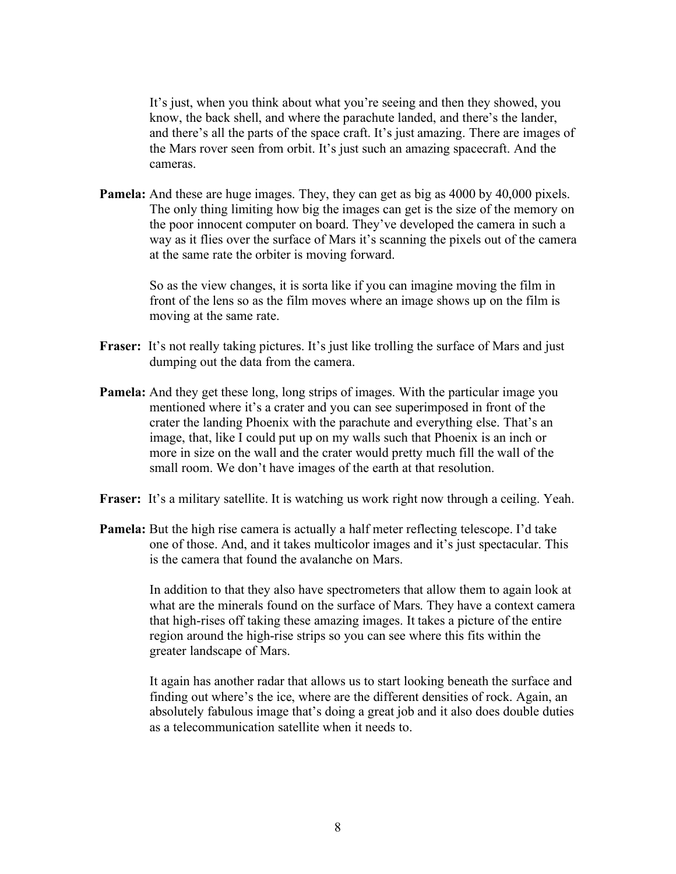It's just, when you think about what you're seeing and then they showed, you know, the back shell, and where the parachute landed, and there's the lander, and there's all the parts of the space craft. It's just amazing. There are images of the Mars rover seen from orbit. It's just such an amazing spacecraft. And the cameras.

**Pamela:** And these are huge images. They, they can get as big as 4000 by 40,000 pixels. The only thing limiting how big the images can get is the size of the memory on the poor innocent computer on board. They've developed the camera in such a way as it flies over the surface of Mars it's scanning the pixels out of the camera at the same rate the orbiter is moving forward.

> So as the view changes, it is sorta like if you can imagine moving the film in front of the lens so as the film moves where an image shows up on the film is moving at the same rate.

- **Fraser:** It's not really taking pictures. It's just like trolling the surface of Mars and just dumping out the data from the camera.
- **Pamela:** And they get these long, long strips of images. With the particular image you mentioned where it's a crater and you can see superimposed in front of the crater the landing Phoenix with the parachute and everything else. That's an image, that, like I could put up on my walls such that Phoenix is an inch or more in size on the wall and the crater would pretty much fill the wall of the small room. We don't have images of the earth at that resolution.
- **Fraser:** It's a military satellite. It is watching us work right now through a ceiling. Yeah.
- **Pamela:** But the high rise camera is actually a half meter reflecting telescope. I'd take one of those. And, and it takes multicolor images and it's just spectacular. This is the camera that found the avalanche on Mars.

In addition to that they also have spectrometers that allow them to again look at what are the minerals found on the surface of Mars. They have a context camera that high-rises off taking these amazing images. It takes a picture of the entire region around the high-rise strips so you can see where this fits within the greater landscape of Mars.

It again has another radar that allows us to start looking beneath the surface and finding out where's the ice, where are the different densities of rock. Again, an absolutely fabulous image that's doing a great job and it also does double duties as a telecommunication satellite when it needs to.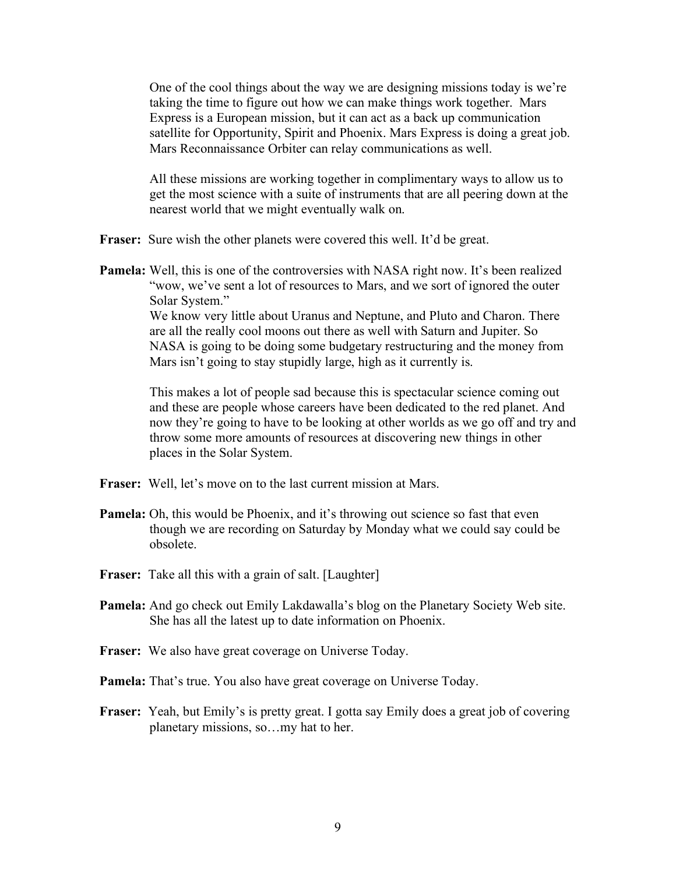One of the cool things about the way we are designing missions today is we're taking the time to figure out how we can make things work together. Mars Express is a European mission, but it can act as a back up communication satellite for Opportunity, Spirit and Phoenix. Mars Express is doing a great job. Mars Reconnaissance Orbiter can relay communications as well.

All these missions are working together in complimentary ways to allow us to get the most science with a suite of instruments that are all peering down at the nearest world that we might eventually walk on.

- **Fraser:** Sure wish the other planets were covered this well. It'd be great.
- **Pamela:** Well, this is one of the controversies with NASA right now. It's been realized "wow, we've sent a lot of resources to Mars, and we sort of ignored the outer Solar System." We know very little about Uranus and Neptune, and Pluto and Charon. There

are all the really cool moons out there as well with Saturn and Jupiter. So NASA is going to be doing some budgetary restructuring and the money from Mars isn't going to stay stupidly large, high as it currently is.

This makes a lot of people sad because this is spectacular science coming out and these are people whose careers have been dedicated to the red planet. And now they're going to have to be looking at other worlds as we go off and try and throw some more amounts of resources at discovering new things in other places in the Solar System.

- **Fraser:** Well, let's move on to the last current mission at Mars.
- **Pamela:** Oh, this would be Phoenix, and it's throwing out science so fast that even though we are recording on Saturday by Monday what we could say could be obsolete.
- **Fraser:** Take all this with a grain of salt. [Laughter]
- **Pamela:** And go check out Emily Lakdawalla's blog on the Planetary Society Web site. She has all the latest up to date information on Phoenix.
- **Fraser:** We also have great coverage on Universe Today.
- **Pamela:** That's true. You also have great coverage on Universe Today.
- **Fraser:** Yeah, but Emily's is pretty great. I gotta say Emily does a great job of covering planetary missions, so…my hat to her.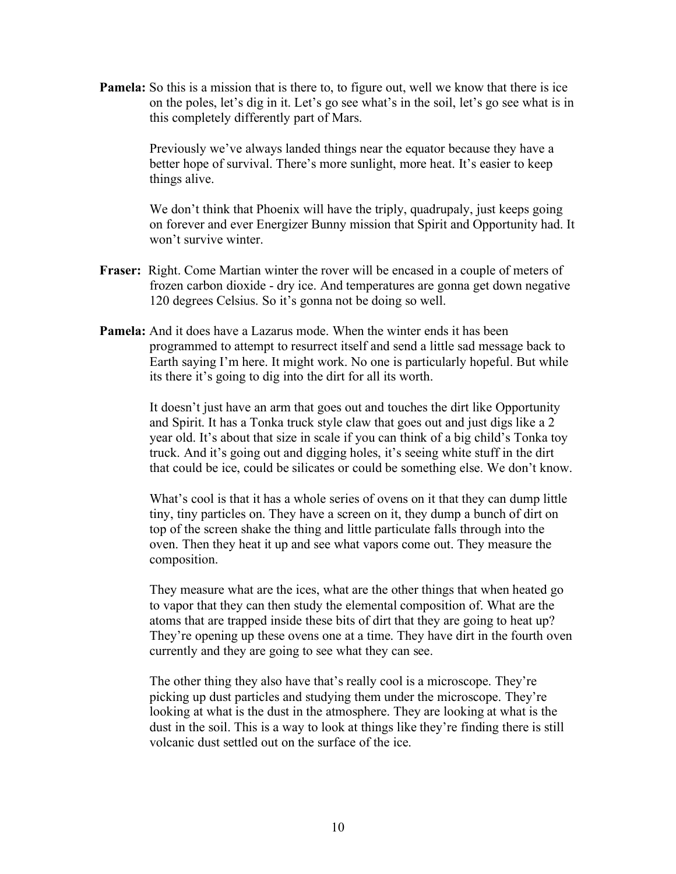**Pamela:** So this is a mission that is there to, to figure out, well we know that there is ice on the poles, let's dig in it. Let's go see what's in the soil, let's go see what is in this completely differently part of Mars.

> Previously we've always landed things near the equator because they have a better hope of survival. There's more sunlight, more heat. It's easier to keep things alive.

We don't think that Phoenix will have the triply, quadrupaly, just keeps going on forever and ever Energizer Bunny mission that Spirit and Opportunity had. It won't survive winter.

- **Fraser:** Right. Come Martian winter the rover will be encased in a couple of meters of frozen carbon dioxide - dry ice. And temperatures are gonna get down negative 120 degrees Celsius. So it's gonna not be doing so well.
- **Pamela:** And it does have a Lazarus mode. When the winter ends it has been programmed to attempt to resurrect itself and send a little sad message back to Earth saying I'm here. It might work. No one is particularly hopeful. But while its there it's going to dig into the dirt for all its worth.

It doesn't just have an arm that goes out and touches the dirt like Opportunity and Spirit. It has a Tonka truck style claw that goes out and just digs like a 2 year old. It's about that size in scale if you can think of a big child's Tonka toy truck. And it's going out and digging holes, it's seeing white stuff in the dirt that could be ice, could be silicates or could be something else. We don't know.

What's cool is that it has a whole series of ovens on it that they can dump little tiny, tiny particles on. They have a screen on it, they dump a bunch of dirt on top of the screen shake the thing and little particulate falls through into the oven. Then they heat it up and see what vapors come out. They measure the composition.

They measure what are the ices, what are the other things that when heated go to vapor that they can then study the elemental composition of. What are the atoms that are trapped inside these bits of dirt that they are going to heat up? They're opening up these ovens one at a time. They have dirt in the fourth oven currently and they are going to see what they can see.

The other thing they also have that's really cool is a microscope. They're picking up dust particles and studying them under the microscope. They're looking at what is the dust in the atmosphere. They are looking at what is the dust in the soil. This is a way to look at things like they're finding there is still volcanic dust settled out on the surface of the ice.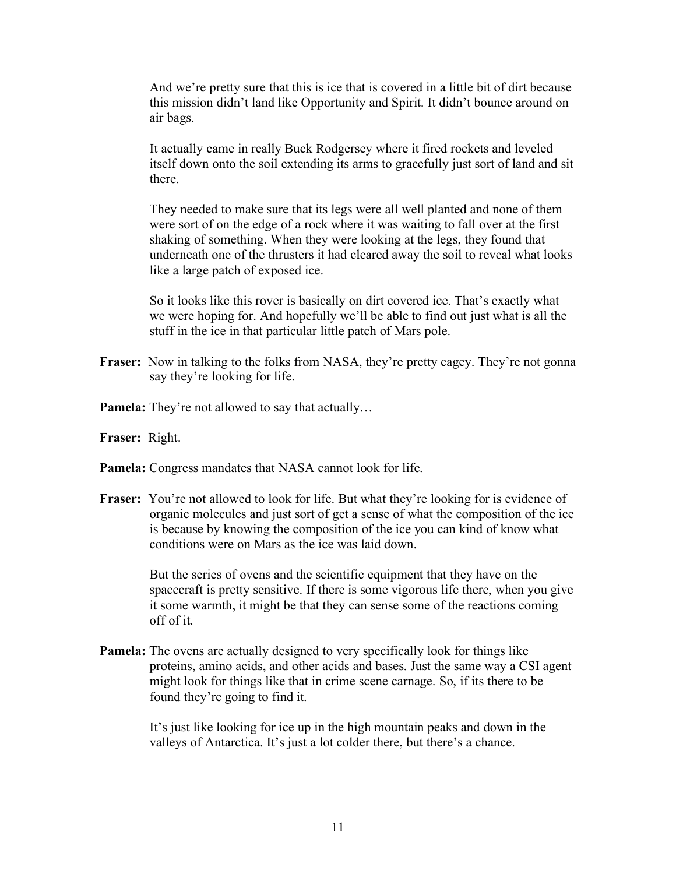And we're pretty sure that this is ice that is covered in a little bit of dirt because this mission didn't land like Opportunity and Spirit. It didn't bounce around on air bags.

It actually came in really Buck Rodgersey where it fired rockets and leveled itself down onto the soil extending its arms to gracefully just sort of land and sit there.

They needed to make sure that its legs were all well planted and none of them were sort of on the edge of a rock where it was waiting to fall over at the first shaking of something. When they were looking at the legs, they found that underneath one of the thrusters it had cleared away the soil to reveal what looks like a large patch of exposed ice.

So it looks like this rover is basically on dirt covered ice. That's exactly what we were hoping for. And hopefully we'll be able to find out just what is all the stuff in the ice in that particular little patch of Mars pole.

- **Fraser:** Now in talking to the folks from NASA, they're pretty cagey. They're not gonna say they're looking for life.
- **Pamela:** They're not allowed to say that actually...
- **Fraser:** Right.
- **Pamela:** Congress mandates that NASA cannot look for life.
- **Fraser:** You're not allowed to look for life. But what they're looking for is evidence of organic molecules and just sort of get a sense of what the composition of the ice is because by knowing the composition of the ice you can kind of know what conditions were on Mars as the ice was laid down.

But the series of ovens and the scientific equipment that they have on the spacecraft is pretty sensitive. If there is some vigorous life there, when you give it some warmth, it might be that they can sense some of the reactions coming off of it.

**Pamela:** The ovens are actually designed to very specifically look for things like proteins, amino acids, and other acids and bases. Just the same way a CSI agent might look for things like that in crime scene carnage. So, if its there to be found they're going to find it.

> It's just like looking for ice up in the high mountain peaks and down in the valleys of Antarctica. It's just a lot colder there, but there's a chance.